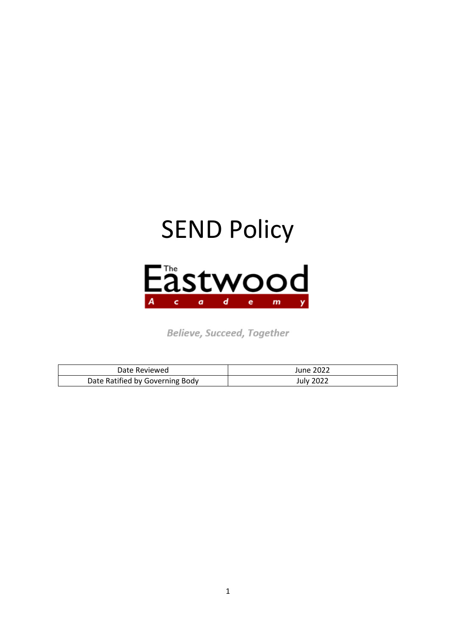

**Believe, Succeed, Together** 

| Date Reviewed                   | <b>June 2022</b> |
|---------------------------------|------------------|
| Date Ratified by Governing Body | <b>July 2022</b> |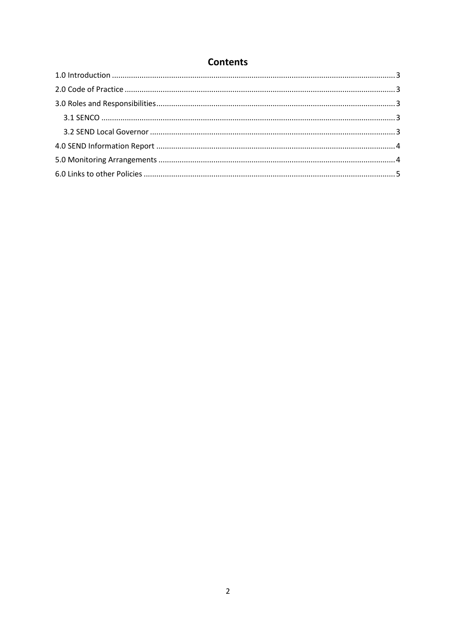# **Contents**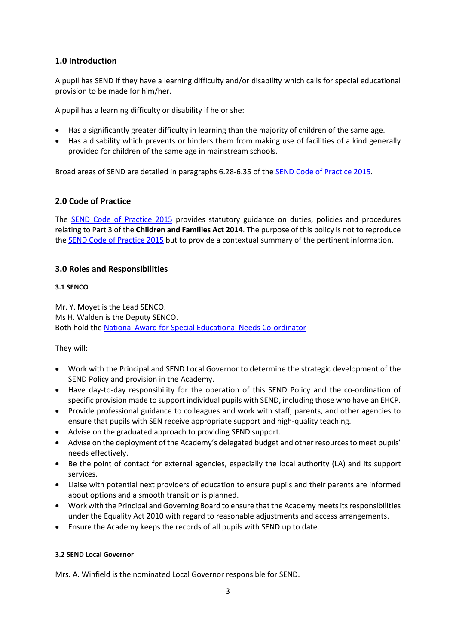# <span id="page-2-0"></span>**1.0 Introduction**

A pupil has SEND if they have a learning difficulty and/or disability which calls for special educational provision to be made for him/her.

A pupil has a learning difficulty or disability if he or she:

- Has a significantly greater difficulty in learning than the majority of children of the same age.
- Has a disability which prevents or hinders them from making use of facilities of a kind generally provided for children of the same age in mainstream schools.

<span id="page-2-1"></span>Broad areas of SEND are detailed in paragraphs 6.28-6.35 of the SEND [Code of Practice 2015.](https://www.gov.uk/government/uploads/system/uploads/attachment_data/file/398815/SEND_Code_of_Practice_January_2015.pdf)

## **2.0 Code of Practice**

The SEND [Code of Practice 2015](https://www.gov.uk/government/uploads/system/uploads/attachment_data/file/398815/SEND_Code_of_Practice_January_2015.pdf) provides statutory guidance on duties, policies and procedures relating to Part 3 of the **Children and Families Act 2014**. The purpose of this policy is not to reproduce the SEND [Code of Practice 2015](https://www.gov.uk/government/uploads/system/uploads/attachment_data/file/398815/SEND_Code_of_Practice_January_2015.pdf) but to provide a contextual summary of the pertinent information.

## <span id="page-2-2"></span>**3.0 Roles and Responsibilities**

## <span id="page-2-3"></span>**3.1 SENCO**

Mr. Y. Moyet is the Lead SENCO. Ms H. Walden is the Deputy SENCO. Both hold th[e National Award for Special Educational Needs Co-ordinator](https://www.gov.uk/government/publications/national-award-for-sen-co-ordination-learning-outcomes)

They will:

- Work with the Principal and SEND Local Governor to determine the strategic development of the SEND Policy and provision in the Academy.
- Have day-to-day responsibility for the operation of this SEND Policy and the co-ordination of specific provision made to support individual pupils with SEND, including those who have an EHCP.
- Provide professional guidance to colleagues and work with staff, parents, and other agencies to ensure that pupils with SEN receive appropriate support and high-quality teaching.
- Advise on the graduated approach to providing SEND support.
- Advise on the deployment of the Academy's delegated budget and other resources to meet pupils' needs effectively.
- Be the point of contact for external agencies, especially the local authority (LA) and its support services.
- Liaise with potential next providers of education to ensure pupils and their parents are informed about options and a smooth transition is planned.
- Work with the Principal and Governing Board to ensure that the Academy meets its responsibilities under the Equality Act 2010 with regard to reasonable adjustments and access arrangements.
- Ensure the Academy keeps the records of all pupils with SEND up to date.

## <span id="page-2-4"></span>**3.2 SEND Local Governor**

Mrs. A. Winfield is the nominated Local Governor responsible for SEND.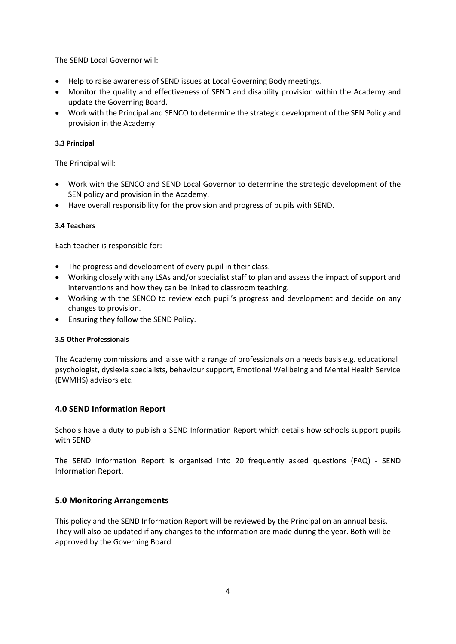The SEND Local Governor will:

- Help to raise awareness of SEND issues at Local Governing Body meetings.
- Monitor the quality and effectiveness of SEND and disability provision within the Academy and update the Governing Board.
- Work with the Principal and SENCO to determine the strategic development of the SEN Policy and provision in the Academy.

#### **3.3 Principal**

The Principal will:

- Work with the SENCO and SEND Local Governor to determine the strategic development of the SEN policy and provision in the Academy.
- Have overall responsibility for the provision and progress of pupils with SEND.

#### **3.4 Teachers**

Each teacher is responsible for:

- The progress and development of every pupil in their class.
- Working closely with any LSAs and/or specialist staff to plan and assess the impact of support and interventions and how they can be linked to classroom teaching.
- Working with the SENCO to review each pupil's progress and development and decide on any changes to provision.
- Ensuring they follow the SEND Policy.

#### **3.5 Other Professionals**

The Academy commissions and laisse with a range of professionals on a needs basis e.g. educational psychologist, dyslexia specialists, behaviour support, Emotional Wellbeing and Mental Health Service (EWMHS) advisors etc.

## <span id="page-3-0"></span>**4.0 SEND Information Report**

Schools have a duty to publish a SEND Information Report which details how schools support pupils with SEND.

<span id="page-3-1"></span>The SEND Information Report is organised into 20 frequently asked questions (FAQ) - [SEND](http://www.eastwoodacademy.co.uk/docs/SEN%20Information%20Report%202020.pdf)  [Information Report.](http://www.eastwoodacademy.co.uk/docs/SEN%20Information%20Report%202020.pdf)

## **5.0 Monitoring Arrangements**

This policy and the SEND Information Report will be reviewed by the Principal on an annual basis. They will also be updated if any changes to the information are made during the year. Both will be approved by the Governing Board.